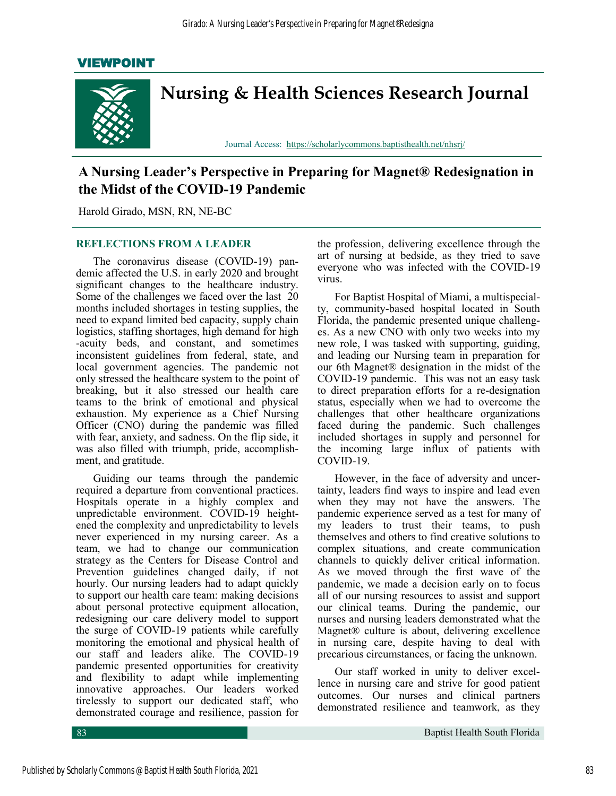## VIEWPOINT



# **A Nursing Leader's Perspective in Preparing for Magnet® Redesignation in the Midst of the COVID-19 Pandemic**

Harold Girado, MSN, RN, NE-BC

### **REFLECTIONS FROM A LEADER**

The coronavirus disease (COVID-19) pandemic affected the U.S. in early 2020 and brought significant changes to the healthcare industry. Some of the challenges we faced over the last 20 months included shortages in testing supplies, the need to expand limited bed capacity, supply chain logistics, staffing shortages, high demand for high -acuity beds, and constant, and sometimes inconsistent guidelines from federal, state, and local government agencies. The pandemic not only stressed the healthcare system to the point of breaking, but it also stressed our health care teams to the brink of emotional and physical exhaustion. My experience as a Chief Nursing Officer (CNO) during the pandemic was filled with fear, anxiety, and sadness. On the flip side, it was also filled with triumph, pride, accomplishment, and gratitude.

Guiding our teams through the pandemic required a departure from conventional practices. Hospitals operate in a highly complex and unpredictable environment. COVID-19 heightened the complexity and unpredictability to levels never experienced in my nursing career. As a team, we had to change our communication strategy as the Centers for Disease Control and Prevention guidelines changed daily, if not hourly. Our nursing leaders had to adapt quickly to support our health care team: making decisions about personal protective equipment allocation, redesigning our care delivery model to support the surge of COVID-19 patients while carefully monitoring the emotional and physical health of our staff and leaders alike. The COVID-19 pandemic presented opportunities for creativity and flexibility to adapt while implementing innovative approaches. Our leaders worked tirelessly to support our dedicated staff, who demonstrated courage and resilience, passion for

the profession, delivering excellence through the art of nursing at bedside, as they tried to save everyone who was infected with the COVID-19 virus.

For Baptist Hospital of Miami, a multispecialty, community-based hospital located in South Florida, the pandemic presented unique challenges. As a new CNO with only two weeks into my new role, I was tasked with supporting, guiding, and leading our Nursing team in preparation for our 6th Magnet® designation in the midst of the COVID-19 pandemic. This was not an easy task to direct preparation efforts for a re-designation status, especially when we had to overcome the challenges that other healthcare organizations faced during the pandemic. Such challenges included shortages in supply and personnel for the incoming large influx of patients with COVID-19.

However, in the face of adversity and uncertainty, leaders find ways to inspire and lead even when they may not have the answers. The pandemic experience served as a test for many of my leaders to trust their teams, to push themselves and others to find creative solutions to complex situations, and create communication channels to quickly deliver critical information. As we moved through the first wave of the pandemic, we made a decision early on to focus all of our nursing resources to assist and support our clinical teams. During the pandemic, our nurses and nursing leaders demonstrated what the Magnet® culture is about, delivering excellence in nursing care, despite having to deal with precarious circumstances, or facing the unknown.

Our staff worked in unity to deliver excellence in nursing care and strive for good patient outcomes. Our nurses and clinical partners demonstrated resilience and teamwork, as they